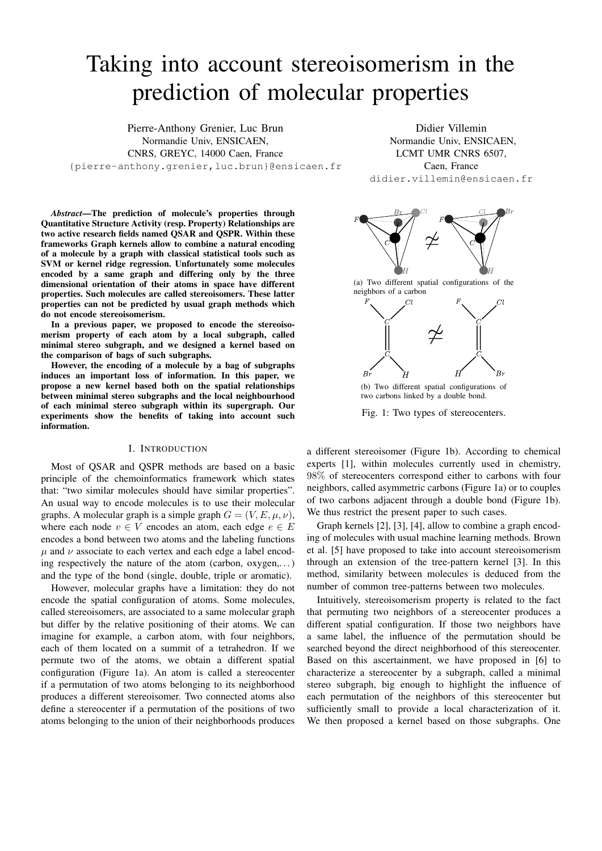# Taking into account stereoisomerism in the prediction of molecular properties

Pierre-Anthony Grenier, Luc Brun Normandie Univ, ENSICAEN, CNRS, GREYC, 14000 Caen, France {pierre-anthony.grenier,luc.brun}@ensicaen.fr

Didier Villemin Normandie Univ, ENSICAEN, LCMT UMR CNRS 6507, Caen, France didier.villemin@ensicaen.fr

*Abstract*—The prediction of molecule's properties through Quantitative Structure Activity (resp. Property) Relationships are two active research fields named QSAR and QSPR. Within these frameworks Graph kernels allow to combine a natural encoding of a molecule by a graph with classical statistical tools such as SVM or kernel ridge regression. Unfortunately some molecules encoded by a same graph and differing only by the three dimensional orientation of their atoms in space have different properties. Such molecules are called stereoisomers. These latter properties can not be predicted by usual graph methods which do not encode stereoisomerism.

In a previous paper, we proposed to encode the stereoisomerism property of each atom by a local subgraph, called minimal stereo subgraph, and we designed a kernel based on the comparison of bags of such subgraphs.

However, the encoding of a molecule by a bag of subgraphs induces an important loss of information. In this paper, we propose a new kernel based both on the spatial relationships between minimal stereo subgraphs and the local neighbourhood of each minimal stereo subgraph within its supergraph. Our experiments show the benefits of taking into account such information.

## I. INTRODUCTION

Most of QSAR and QSPR methods are based on a basic principle of the chemoinformatics framework which states that: "two similar molecules should have similar properties". An usual way to encode molecules is to use their molecular graphs. A molecular graph is a simple graph  $G = (V, E, \mu, \nu)$ , where each node  $v \in V$  encodes an atom, each edge  $e \in E$ encodes a bond between two atoms and the labeling functions  $\mu$  and  $\nu$  associate to each vertex and each edge a label encoding respectively the nature of the atom (carbon, oxygen,. . . ) and the type of the bond (single, double, triple or aromatic).

However, molecular graphs have a limitation: they do not encode the spatial configuration of atoms. Some molecules, called stereoisomers, are associated to a same molecular graph but differ by the relative positioning of their atoms. We can imagine for example, a carbon atom, with four neighbors, each of them located on a summit of a tetrahedron. If we permute two of the atoms, we obtain a different spatial configuration (Figure 1a). An atom is called a stereocenter if a permutation of two atoms belonging to its neighborhood produces a different stereoisomer. Two connected atoms also define a stereocenter if a permutation of the positions of two atoms belonging to the union of their neighborhoods produces



two carbons linked by a double bond.

Fig. 1: Two types of stereocenters.

a different stereoisomer (Figure 1b). According to chemical experts [1], within molecules currently used in chemistry, 98% of stereocenters correspond either to carbons with four neighbors, called asymmetric carbons (Figure 1a) or to couples of two carbons adjacent through a double bond (Figure 1b). We thus restrict the present paper to such cases.

Graph kernels [2], [3], [4], allow to combine a graph encoding of molecules with usual machine learning methods. Brown et al. [5] have proposed to take into account stereoisomerism through an extension of the tree-pattern kernel [3]. In this method, similarity between molecules is deduced from the number of common tree-patterns between two molecules.

Intuitively, stereoisomerism property is related to the fact that permuting two neighbors of a stereocenter produces a different spatial configuration. If those two neighbors have a same label, the influence of the permutation should be searched beyond the direct neighborhood of this stereocenter. Based on this ascertainment, we have proposed in [6] to characterize a stereocenter by a subgraph, called a minimal stereo subgraph, big enough to highlight the influence of each permutation of the neighbors of this stereocenter but sufficiently small to provide a local characterization of it. We then proposed a kernel based on those subgraphs. One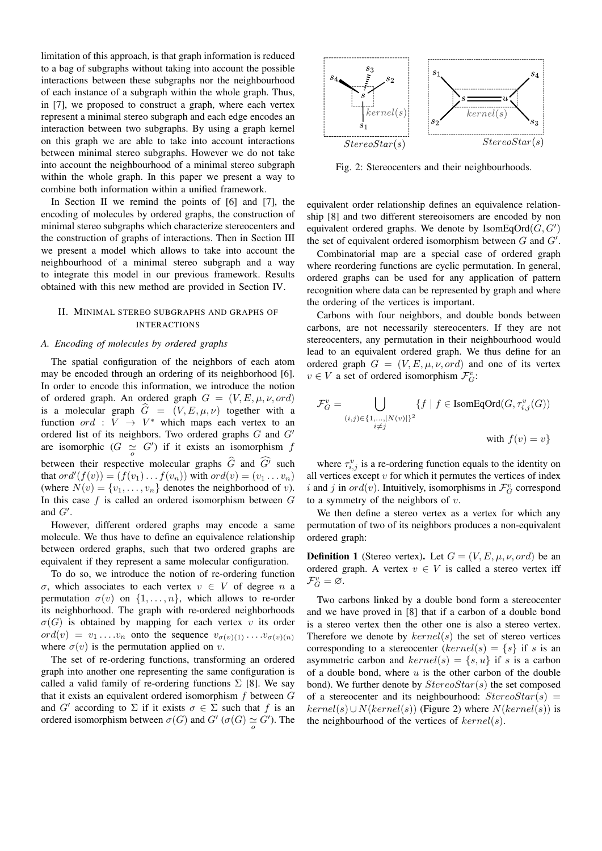limitation of this approach, is that graph information is reduced to a bag of subgraphs without taking into account the possible interactions between these subgraphs nor the neighbourhood of each instance of a subgraph within the whole graph. Thus, in [7], we proposed to construct a graph, where each vertex represent a minimal stereo subgraph and each edge encodes an interaction between two subgraphs. By using a graph kernel on this graph we are able to take into account interactions between minimal stereo subgraphs. However we do not take into account the neighbourhood of a minimal stereo subgraph within the whole graph. In this paper we present a way to combine both information within a unified framework.

In Section II we remind the points of [6] and [7], the encoding of molecules by ordered graphs, the construction of minimal stereo subgraphs which characterize stereocenters and the construction of graphs of interactions. Then in Section III we present a model which allows to take into account the neighbourhood of a minimal stereo subgraph and a way to integrate this model in our previous framework. Results obtained with this new method are provided in Section IV.

## II. MINIMAL STEREO SUBGRAPHS AND GRAPHS OF INTERACTIONS

#### *A. Encoding of molecules by ordered graphs*

The spatial configuration of the neighbors of each atom may be encoded through an ordering of its neighborhood [6]. In order to encode this information, we introduce the notion of ordered graph. An ordered graph  $G = (V, E, \mu, \nu, \text{ord})$ is a molecular graph  $G = (V, E, \mu, \nu)$  together with a function  $ord: V \rightarrow V^*$  which maps each vertex to an ordered list of its neighbors. Two ordered graphs  $G$  and  $G'$ are isomorphic  $(G \simeq G')$  if it exists an isomorphism f between their respective molecular graphs  $\widehat{G}$  and  $\widehat{G}^{\prime}$  such that  $ord'(f(v)) = (f(v_1) \dots f(v_n))$  with  $ord(v) = (v_1 \dots v_n)$ (where  $N(v) = \{v_1, \ldots, v_n\}$  denotes the neighborhood of v). In this case  $f$  is called an ordered isomorphism between  $G$ and  $G'$ .

However, different ordered graphs may encode a same molecule. We thus have to define an equivalence relationship between ordered graphs, such that two ordered graphs are equivalent if they represent a same molecular configuration.

To do so, we introduce the notion of re-ordering function σ, which associates to each vertex v ∈ V of degree n a permutation  $\sigma(v)$  on  $\{1, \ldots, n\}$ , which allows to re-order its neighborhood. The graph with re-ordered neighborhoods  $\sigma(G)$  is obtained by mapping for each vertex v its order  $ord(v) = v_1 \ldots v_n$  onto the sequence  $v_{\sigma(v)(1)} \ldots v_{\sigma(v)(n)}$ where  $\sigma(v)$  is the permutation applied on v.

The set of re-ordering functions, transforming an ordered graph into another one representing the same configuration is called a valid family of re-ordering functions  $\Sigma$  [8]. We say that it exists an equivalent ordered isomorphism  $f$  between  $G$ and G' according to  $\Sigma$  if it exists  $\sigma \in \Sigma$  such that f is an ordered isomorphism between  $\sigma(G)$  and  $G'$  ( $\sigma(G) \simeq G'$ ). The



Fig. 2: Stereocenters and their neighbourhoods.

equivalent order relationship defines an equivalence relationship [8] and two different stereoisomers are encoded by non equivalent ordered graphs. We denote by  $\text{IsomEqOrd}(G,G')$ the set of equivalent ordered isomorphism between  $G$  and  $G'$ .

Combinatorial map are a special case of ordered graph where reordering functions are cyclic permutation. In general, ordered graphs can be used for any application of pattern recognition where data can be represented by graph and where the ordering of the vertices is important.

Carbons with four neighbors, and double bonds between carbons, are not necessarily stereocenters. If they are not stereocenters, any permutation in their neighbourhood would lead to an equivalent ordered graph. We thus define for an ordered graph  $G = (V, E, \mu, \nu, \text{ord})$  and one of its vertex  $v \in V$  a set of ordered isomorphism  $\mathcal{F}_G^v$ :

$$
\mathcal{F}_G^v = \bigcup_{\substack{(i,j) \in \{1,\ldots,|N(v)|\}^2 \\ i \neq j}} \{f \mid f \in \text{IsomEqOrd}(G, \tau_{i,j}^v(G))
$$
  
with  $f(v) = v\}$ 

where  $\tau_{i,j}^v$  is a re-ordering function equals to the identity on all vertices except  $v$  for which it permutes the vertices of index i and j in  $ord(v)$ . Intuitively, isomorphisms in  $\mathcal{F}_G^v$  correspond to a symmetry of the neighbors of  $v$ .

We then define a stereo vertex as a vertex for which any permutation of two of its neighbors produces a non-equivalent ordered graph:

**Definition 1** (Stereo vertex). Let  $G = (V, E, \mu, \nu, \text{ord})$  be an ordered graph. A vertex  $v \in V$  is called a stereo vertex iff  $\mathcal{F}_G^v = \varnothing.$ 

Two carbons linked by a double bond form a stereocenter and we have proved in [8] that if a carbon of a double bond is a stereo vertex then the other one is also a stereo vertex. Therefore we denote by  $kernel(s)$  the set of stereo vertices corresponding to a stereocenter (kernel(s) = {s} if s is an asymmetric carbon and  $kernel(s) = \{s, u\}$  if s is a carbon of a double bond, where  $u$  is the other carbon of the double bond). We further denote by  $StereoStar(s)$  the set composed of a stereocenter and its neighbourhood:  $StereoStar(s)$  $kernel(s) \cup N(kernel(s))$  (Figure 2) where  $N(kernel(s))$  is the neighbourhood of the vertices of  $kernel(s)$ .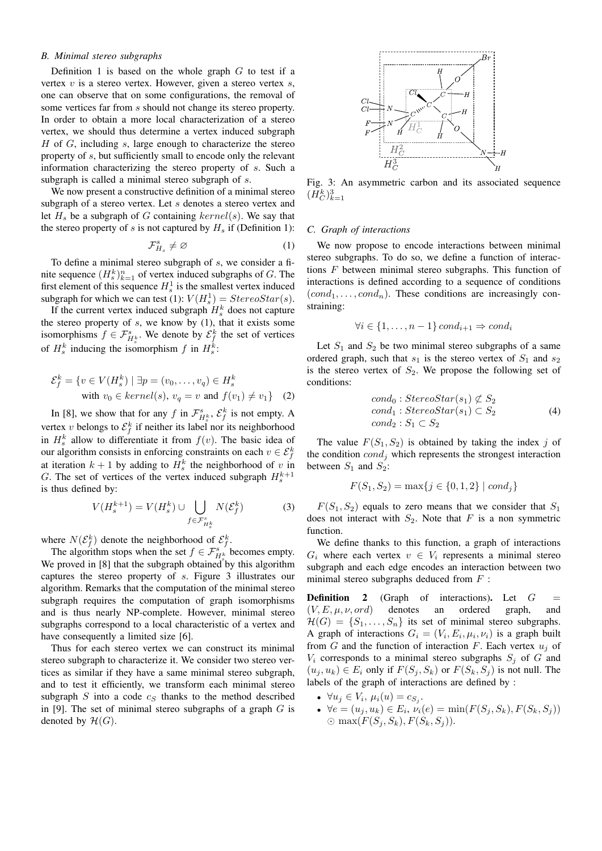# *B. Minimal stereo subgraphs*

Definition 1 is based on the whole graph  $G$  to test if a vertex  $v$  is a stereo vertex. However, given a stereo vertex  $s$ , one can observe that on some configurations, the removal of some vertices far from s should not change its stereo property. In order to obtain a more local characterization of a stereo vertex, we should thus determine a vertex induced subgraph H of G, including s, large enough to characterize the stereo property of s, but sufficiently small to encode only the relevant information characterizing the stereo property of s. Such a subgraph is called a minimal stereo subgraph of s.

We now present a constructive definition of a minimal stereo subgraph of a stereo vertex. Let s denotes a stereo vertex and let  $H_s$  be a subgraph of G containing  $kernel(s)$ . We say that the stereo property of s is not captured by  $H_s$  if (Definition 1):

$$
\mathcal{F}_{H_s}^s \neq \varnothing \tag{1}
$$

To define a minimal stereo subgraph of s, we consider a finite sequence  $(H_s^k)_{k=1}^n$  of vertex induced subgraphs of G. The first element of this sequence  $H_s^1$  is the smallest vertex induced subgraph for which we can test (1):  $V(H_s^1) = StereoStar(s)$ .

If the current vertex induced subgraph  $H_s^k$  does not capture the stereo property of  $s$ , we know by  $(1)$ , that it exists some isomorphisms  $f \in \mathcal{F}_{H_s^k}^s$ . We denote by  $\mathcal{E}_{f}^k$  the set of vertices of  $H_s^k$  inducing the isomorphism f in  $H_s^k$ :

$$
\mathcal{E}_f^k = \{ v \in V(H_s^k) \mid \exists p = (v_0, \dots, v_q) \in H_s^k
$$
  
with  $v_0 \in kernel(s), v_q = v$  and  $f(v_1) \neq v_1 \}$  (2)

In [8], we show that for any f in  $\mathcal{F}_{H^k_s}^s$ ,  $\mathcal{E}_f^k$  is not empty. A vertex v belongs to  $\mathcal{E}_f^k$  if neither its label nor its neighborhood in  $H_s^k$  allow to differentiate it from  $f(v)$ . The basic idea of our algorithm consists in enforcing constraints on each  $v \in \mathcal{E}_f^k$ at iteration  $k + 1$  by adding to  $H_s^k$  the neighborhood of v in G. The set of vertices of the vertex induced subgraph  $H_s^{k+1}$ is thus defined by:

$$
V(H_s^{k+1}) = V(H_s^k) \cup \bigcup_{f \in \mathcal{F}_{H_s^k}^s} N(\mathcal{E}_f^k)
$$
(3)

where  $N(\mathcal{E}_f^k)$  denote the neighborhood of  $\mathcal{E}_f^k$ .

The algorithm stops when the set  $f \in \mathcal{F}_{H^k_S}^{s}$  becomes empty. We proved in [8] that the subgraph obtained by this algorithm captures the stereo property of s. Figure 3 illustrates our algorithm. Remarks that the computation of the minimal stereo subgraph requires the computation of graph isomorphisms and is thus nearly NP-complete. However, minimal stereo subgraphs correspond to a local characteristic of a vertex and have consequently a limited size [6].

Thus for each stereo vertex we can construct its minimal stereo subgraph to characterize it. We consider two stereo vertices as similar if they have a same minimal stereo subgraph, and to test it efficiently, we transform each minimal stereo subgraph  $S$  into a code  $c_S$  thanks to the method described in [9]. The set of minimal stereo subgraphs of a graph  $G$  is denoted by  $\mathcal{H}(G)$ .



Fig. 3: An asymmetric carbon and its associated sequence  $(H_C^k)_{k=1}^3$ 

#### *C. Graph of interactions*

We now propose to encode interactions between minimal stereo subgraphs. To do so, we define a function of interactions  $F$  between minimal stereo subgraphs. This function of interactions is defined according to a sequence of conditions  $(cond_1, \ldots, cond_n)$ . These conditions are increasingly constraining:

$$
\forall i \in \{1, \ldots, n-1\} \, cond_{i+1} \Rightarrow cond_i
$$

Let  $S_1$  and  $S_2$  be two minimal stereo subgraphs of a same ordered graph, such that  $s_1$  is the stereo vertex of  $S_1$  and  $s_2$ is the stereo vertex of  $S_2$ . We propose the following set of conditions:

$$
cond0: StereoStar(s1) \nsubseteq S2\n
$$
cond1: StereoStar(s1) \nsubseteq S2
$$
\n
$$
cond2: S1 \nsubseteq S2
$$
\n(4)
$$

The value  $F(S_1, S_2)$  is obtained by taking the index j of the condition  $cond_i$  which represents the strongest interaction between  $S_1$  and  $S_2$ :

$$
F(S_1, S_2) = \max\{j \in \{0, 1, 2\} \mid cond_j\}
$$

 $F(S_1, S_2)$  equals to zero means that we consider that  $S_1$ does not interact with  $S_2$ . Note that F is a non symmetric function.

We define thanks to this function, a graph of interactions  $G_i$  where each vertex  $v \in V_i$  represents a minimal stereo subgraph and each edge encodes an interaction between two minimal stereo subgraphs deduced from  $F$ :

**Definition 2** (Graph of interactions). Let  $G$  $(V, E, \mu, \nu, \text{ord})$  denotes an ordered graph, and  $\mathcal{H}(G) = \{S_1, \ldots, S_n\}$  its set of minimal stereo subgraphs. A graph of interactions  $G_i = (V_i, E_i, \mu_i, \nu_i)$  is a graph built from G and the function of interaction F. Each vertex  $u_j$  of  $V_i$  corresponds to a minimal stereo subgraphs  $S_j$  of G and  $(u_j, u_k) \in E_i$  only if  $F(S_j, S_k)$  or  $F(S_k, S_j)$  is not null. The labels of the graph of interactions are defined by :

- $\forall u_j \in V_i, \mu_i(u) = c_{S_j}.$
- $\forall e = (u_j, u_k) \in E_i$ ,  $\nu_i(e) = \min(F(S_j, S_k), F(S_k, S_j))$  $\odot$  max $(F(S_j, S_k), F(S_k, S_j)).$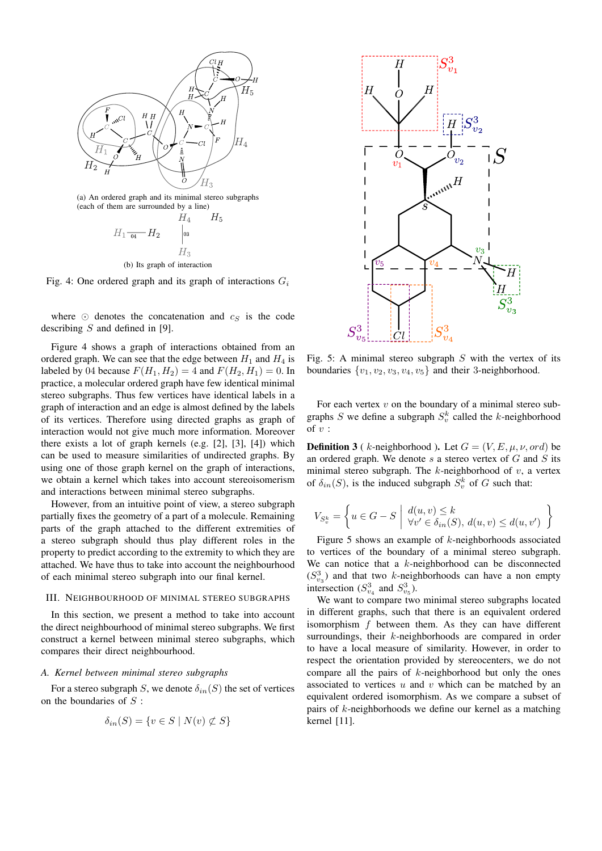

Fig. 4: One ordered graph and its graph of interactions  $G_i$ 

where  $\odot$  denotes the concatenation and  $c_S$  is the code describing S and defined in [9].

Figure 4 shows a graph of interactions obtained from an ordered graph. We can see that the edge between  $H_1$  and  $H_4$  is labeled by 04 because  $F(H_1, H_2) = 4$  and  $F(H_2, H_1) = 0$ . In practice, a molecular ordered graph have few identical minimal stereo subgraphs. Thus few vertices have identical labels in a graph of interaction and an edge is almost defined by the labels of its vertices. Therefore using directed graphs as graph of interaction would not give much more information. Moreover there exists a lot of graph kernels (e.g. [2], [3], [4]) which can be used to measure similarities of undirected graphs. By using one of those graph kernel on the graph of interactions, we obtain a kernel which takes into account stereoisomerism and interactions between minimal stereo subgraphs.

However, from an intuitive point of view, a stereo subgraph partially fixes the geometry of a part of a molecule. Remaining parts of the graph attached to the different extremities of a stereo subgraph should thus play different roles in the property to predict according to the extremity to which they are attached. We have thus to take into account the neighbourhood of each minimal stereo subgraph into our final kernel.

#### III. NEIGHBOURHOOD OF MINIMAL STEREO SUBGRAPHS

In this section, we present a method to take into account the direct neighbourhood of minimal stereo subgraphs. We first construct a kernel between minimal stereo subgraphs, which compares their direct neighbourhood.

## *A. Kernel between minimal stereo subgraphs*

For a stereo subgraph S, we denote  $\delta_{in}(S)$  the set of vertices on the boundaries of  $S$ :

$$
\delta_{in}(S) = \{ v \in S \mid N(v) \not\subset S \}
$$



Fig. 5: A minimal stereo subgraph  $S$  with the vertex of its boundaries  $\{v_1, v_2, v_3, v_4, v_5\}$  and their 3-neighborhood.

For each vertex  $v$  on the boundary of a minimal stereo subgraphs S we define a subgraph  $S_v^k$  called the k-neighborhood of  $v$  :

**Definition 3** ( k-neighborhood ). Let  $G = (V, E, \mu, \nu, \text{ord})$  be an ordered graph. We denote  $s$  a stereo vertex of  $G$  and  $S$  its minimal stereo subgraph. The  $k$ -neighborhood of  $v$ , a vertex of  $\delta_{in}(S)$ , is the induced subgraph  $S_v^k$  of G such that:

$$
V_{S_v^k} = \left\{ u \in G - S \mid \frac{d(u, v) \le k}{\forall v' \in \delta_{in}(S), d(u, v) \le d(u, v')} \right\}
$$

Figure 5 shows an example of  $k$ -neighborhoods associated to vertices of the boundary of a minimal stereo subgraph. We can notice that a  $k$ -neighborhood can be disconnected  $(S_{v_3}^3)$  and that two k-neighborhoods can have a non empty intersection  $(S_{v_4}^3$  and  $S_{v_5}^3$ ).

We want to compare two minimal stereo subgraphs located in different graphs, such that there is an equivalent ordered isomorphism  $f$  between them. As they can have different surroundings, their k-neighborhoods are compared in order to have a local measure of similarity. However, in order to respect the orientation provided by stereocenters, we do not compare all the pairs of  $k$ -neighborhood but only the ones associated to vertices  $u$  and  $v$  which can be matched by an equivalent ordered isomorphism. As we compare a subset of pairs of k-neighborhoods we define our kernel as a matching kernel [11].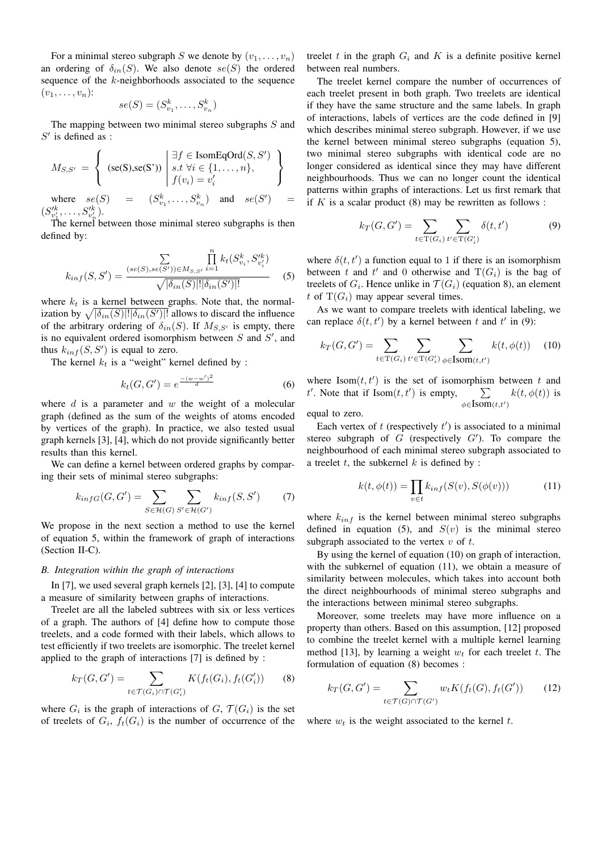For a minimal stereo subgraph S we denote by  $(v_1, \ldots, v_n)$ an ordering of  $\delta_{in}(S)$ . We also denote  $se(S)$  the ordered sequence of the k-neighborhoods associated to the sequence  $(v_1,\ldots,v_n)$ :

$$
se(S) = (S_{v_1}^k, \ldots, S_{v_n}^k)
$$

The mapping between two minimal stereo subgraphs S and  $S'$  is defined as :

$$
M_{S,S'} = \left\{ \begin{array}{l} (\mathrm{se}(S), \mathrm{se}(S')) \middle| \begin{array}{l} \exists f \in \mathrm{IsomEqOrd}(S,S') \\ s.t \; \forall i \in \{1,\ldots,n\}, \\ f(v_i) = v'_i \end{array} \end{array} \right\}
$$
  
where  $se(S) = (S_{v_1}^k, \ldots, S_{v_n}^k)$  and  $se(S') = (S_{v'_1}^{lk}, \ldots, S_{v'_n}^{lk}).$ 

The kernel between those minimal stereo subgraphs is then defined by:

$$
k_{inf}(S, S') = \frac{\sum\limits_{(se(S), se(S')) \in M_{S, S'}} \prod\limits_{i=1}^{n} k_t(S_{v_i}^k, S_{v_i'}^{lk})}{\sqrt{|\delta_{in}(S)|! |\delta_{in}(S')|!}} \tag{5}
$$

where  $k_t$  is a kernel between graphs. Note that, the normalization by  $\sqrt{|\delta_{in}(S)|! |\delta_{in}(S')|!}$  allows to discard the influence of the arbitrary ordering of  $\delta_{in}(S)$ . If  $M_{S,S'}$  is empty, there is no equivalent ordered isomorphism between  $S$  and  $S'$ , and thus  $k_{inf}(S, S')$  is equal to zero.

The kernel  $k_t$  is a "weight" kernel defined by :

$$
k_t(G, G') = e^{\frac{-(w - w')^2}{d}}
$$
 (6)

where  $d$  is a parameter and  $w$  the weight of a molecular graph (defined as the sum of the weights of atoms encoded by vertices of the graph). In practice, we also tested usual graph kernels [3], [4], which do not provide significantly better results than this kernel.

We can define a kernel between ordered graphs by comparing their sets of minimal stereo subgraphs:

$$
k_{infG}(G, G') = \sum_{S \in \mathcal{H}(G)} \sum_{S' \in \mathcal{H}(G')} k_{inf}(S, S') \tag{7}
$$

We propose in the next section a method to use the kernel of equation 5, within the framework of graph of interactions (Section II-C).

## *B. Integration within the graph of interactions*

In [7], we used several graph kernels [2], [3], [4] to compute a measure of similarity between graphs of interactions.

Treelet are all the labeled subtrees with six or less vertices of a graph. The authors of [4] define how to compute those treelets, and a code formed with their labels, which allows to test efficiently if two treelets are isomorphic. The treelet kernel applied to the graph of interactions [7] is defined by :

$$
k_T(G, G') = \sum_{t \in \mathcal{T}(G_i) \cap \mathcal{T}(G_i')} K(f_t(G_i), f_t(G_i')) \qquad (8)
$$

where  $G_i$  is the graph of interactions of  $G, \mathcal{T}(G_i)$  is the set of treelets of  $G_i$ ,  $f_t(G_i)$  is the number of occurrence of the

treelet t in the graph  $G_i$  and K is a definite positive kernel between real numbers.

The treelet kernel compare the number of occurrences of each treelet present in both graph. Two treelets are identical if they have the same structure and the same labels. In graph of interactions, labels of vertices are the code defined in [9] which describes minimal stereo subgraph. However, if we use the kernel between minimal stereo subgraphs (equation 5), two minimal stereo subgraphs with identical code are no longer considered as identical since they may have different neighbourhoods. Thus we can no longer count the identical patterns within graphs of interactions. Let us first remark that if  $K$  is a scalar product (8) may be rewritten as follows :

$$
k_T(G, G') = \sum_{t \in \mathcal{T}(G_i)} \sum_{t' \in \mathcal{T}(G_i')} \delta(t, t')
$$
(9)

where  $\delta(t, t')$  a function equal to 1 if there is an isomorphism between t and t' and 0 otherwise and  $T(G_i)$  is the bag of treelets of  $G_i$ . Hence unlike in  $\mathcal{T}(G_i)$  (equation 8), an element t of  $T(G_i)$  may appear several times.

As we want to compare treelets with identical labeling, we can replace  $\delta(t, t')$  by a kernel between t and t' in (9):

$$
k_T(G, G') = \sum_{t \in \mathcal{T}(G_i)} \sum_{t' \in \mathcal{T}(G_i')} \sum_{\phi \in \mathcal{I}(\text{som}(t, t')} k(t, \phi(t)) \tag{10}
$$

where  $\text{Isom}(t, t')$  is the set of isomorphism between t and t'. Note that if  $\text{Isom}(t, t')$  is empty,  $\sum$  $\sum_{\phi \in \mathbf{Isom}(t,t')}$  $k(t, \phi(t))$  is

equal to zero.

Each vertex of  $t$  (respectively  $t'$ ) is associated to a minimal stereo subgraph of  $G$  (respectively  $G'$ ). To compare the neighbourhood of each minimal stereo subgraph associated to a treelet  $t$ , the subkernel  $k$  is defined by :

$$
k(t, \phi(t)) = \prod_{v \in t} k_{inf}(S(v), S(\phi(v))) \tag{11}
$$

where  $k_{inf}$  is the kernel between minimal stereo subgraphs defined in equation (5), and  $S(v)$  is the minimal stereo subgraph associated to the vertex  $v$  of  $t$ .

By using the kernel of equation (10) on graph of interaction, with the subkernel of equation (11), we obtain a measure of similarity between molecules, which takes into account both the direct neighbourhoods of minimal stereo subgraphs and the interactions between minimal stereo subgraphs.

Moreover, some treelets may have more influence on a property than others. Based on this assumption, [12] proposed to combine the treelet kernel with a multiple kernel learning method [13], by learning a weight  $w_t$  for each treelet t. The formulation of equation (8) becomes :

$$
k_T(G, G') = \sum_{t \in \mathcal{T}(G) \cap \mathcal{T}(G')} w_t K(f_t(G), f_t(G')) \qquad (12)
$$

where  $w_t$  is the weight associated to the kernel t.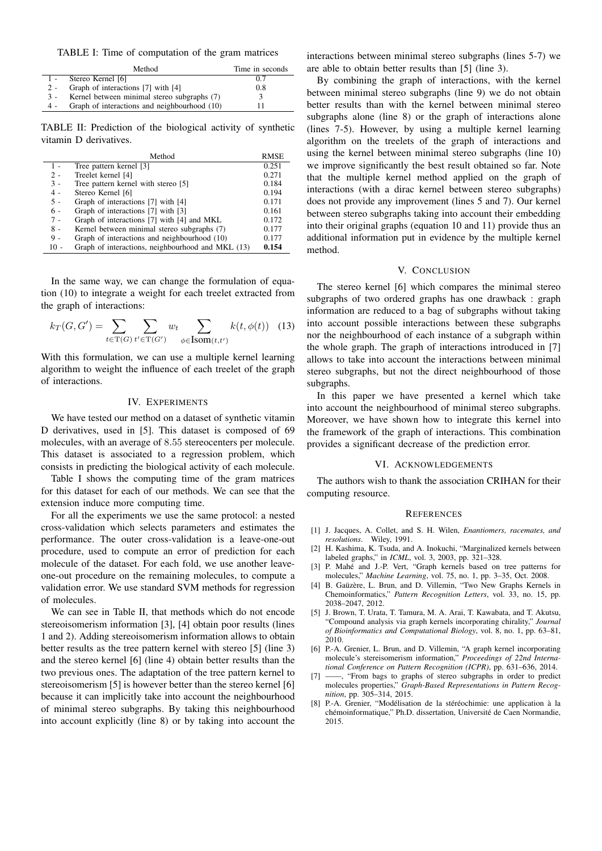TABLE I: Time of computation of the gram matrices

|       | Method                                       | Time in seconds |
|-------|----------------------------------------------|-----------------|
| $1 -$ | Stereo Kernel [6]                            | 0.7             |
| $2 -$ | Graph of interactions [7] with [4]           | 0.8             |
| $3 -$ | Kernel between minimal stereo subgraphs (7)  |                 |
| 4 -   | Graph of interactions and neighbourhood (10) |                 |

TABLE II: Prediction of the biological activity of synthetic vitamin D derivatives.

|        | Method                                            | RMSE  |
|--------|---------------------------------------------------|-------|
| 1 -    | Tree pattern kernel [3]                           | 0.251 |
| $2 -$  | Treelet kernel [4]                                | 0.271 |
| $3 -$  | Tree pattern kernel with stereo [5]               | 0.184 |
| $4 -$  | Stereo Kernel [6]                                 | 0.194 |
| $5 -$  | Graph of interactions [7] with [4]                | 0.171 |
| $6 -$  | Graph of interactions [7] with [3]                | 0.161 |
| $7 -$  | Graph of interactions [7] with [4] and MKL        | 0.172 |
| $8 -$  | Kernel between minimal stereo subgraphs (7)       | 0.177 |
| 9 -    | Graph of interactions and neighbourhood (10)      | 0.177 |
| $10 -$ | Graph of interactions, neighbourhood and MKL (13) | 0.154 |

In the same way, we can change the formulation of equation (10) to integrate a weight for each treelet extracted from the graph of interactions:

$$
k_T(G, G') = \sum_{t \in \mathcal{T}(G)} \sum_{t' \in \mathcal{T}(G')} w_t \sum_{\phi \in \mathcal{I}(t', t')} k(t, \phi(t)) \quad (13)
$$

With this formulation, we can use a multiple kernel learning algorithm to weight the influence of each treelet of the graph of interactions.

## IV. EXPERIMENTS

We have tested our method on a dataset of synthetic vitamin D derivatives, used in [5]. This dataset is composed of 69 molecules, with an average of 8.55 stereocenters per molecule. This dataset is associated to a regression problem, which consists in predicting the biological activity of each molecule.

Table I shows the computing time of the gram matrices for this dataset for each of our methods. We can see that the extension induce more computing time.

For all the experiments we use the same protocol: a nested cross-validation which selects parameters and estimates the performance. The outer cross-validation is a leave-one-out procedure, used to compute an error of prediction for each molecule of the dataset. For each fold, we use another leaveone-out procedure on the remaining molecules, to compute a validation error. We use standard SVM methods for regression of molecules.

We can see in Table II, that methods which do not encode stereoisomerism information [3], [4] obtain poor results (lines 1 and 2). Adding stereoisomerism information allows to obtain better results as the tree pattern kernel with stereo [5] (line 3) and the stereo kernel [6] (line 4) obtain better results than the two previous ones. The adaptation of the tree pattern kernel to stereoisomerism [5] is however better than the stereo kernel [6] because it can implicitly take into account the neighbourhood of minimal stereo subgraphs. By taking this neighbourhood into account explicitly (line 8) or by taking into account the

interactions between minimal stereo subgraphs (lines 5-7) we are able to obtain better results than [5] (line 3).

By combining the graph of interactions, with the kernel between minimal stereo subgraphs (line 9) we do not obtain better results than with the kernel between minimal stereo subgraphs alone (line 8) or the graph of interactions alone (lines 7-5). However, by using a multiple kernel learning algorithm on the treelets of the graph of interactions and using the kernel between minimal stereo subgraphs (line 10) we improve significantly the best result obtained so far. Note that the multiple kernel method applied on the graph of interactions (with a dirac kernel between stereo subgraphs) does not provide any improvement (lines 5 and 7). Our kernel between stereo subgraphs taking into account their embedding into their original graphs (equation 10 and 11) provide thus an additional information put in evidence by the multiple kernel method.

## V. CONCLUSION

The stereo kernel [6] which compares the minimal stereo subgraphs of two ordered graphs has one drawback : graph information are reduced to a bag of subgraphs without taking into account possible interactions between these subgraphs nor the neighbourhood of each instance of a subgraph within the whole graph. The graph of interactions introduced in [7] allows to take into account the interactions between minimal stereo subgraphs, but not the direct neighbourhood of those subgraphs.

In this paper we have presented a kernel which take into account the neighbourhood of minimal stereo subgraphs. Moreover, we have shown how to integrate this kernel into the framework of the graph of interactions. This combination provides a significant decrease of the prediction error.

#### VI. ACKNOWLEDGEMENTS

The authors wish to thank the association CRIHAN for their computing resource.

#### **REFERENCES**

- [1] J. Jacques, A. Collet, and S. H. Wilen, *Enantiomers, racemates, and resolutions*. Wiley, 1991.
- [2] H. Kashima, K. Tsuda, and A. Inokuchi, "Marginalized kernels between labeled graphs," in *ICML*, vol. 3, 2003, pp. 321–328.
- [3] P. Mahé and J.-P. Vert, "Graph kernels based on tree patterns for molecules," *Machine Learning*, vol. 75, no. 1, pp. 3–35, Oct. 2008.
- [4] B. Gaüzère, L. Brun, and D. Villemin, "Two New Graphs Kernels in Chemoinformatics," *Pattern Recognition Letters*, vol. 33, no. 15, pp. 2038–2047, 2012.
- [5] J. Brown, T. Urata, T. Tamura, M. A. Arai, T. Kawabata, and T. Akutsu, "Compound analysis via graph kernels incorporating chirality," *Journal of Bioinformatics and Computational Biology*, vol. 8, no. 1, pp. 63–81, 2010.
- [6] P.-A. Grenier, L. Brun, and D. Villemin, "A graph kernel incorporating molecule's stereisomerism information," *Proceedings of 22nd International Conference on Pattern Recognition (ICPR)*, pp. 631–636, 2014.
- [7] ——, "From bags to graphs of stereo subgraphs in order to predict molecules properties," *Graph-Based Representations in Pattern Recognition*, pp. 305–314, 2015.
- [8] P.-A. Grenier, "Modélisation de la stéréochimie: une application à la chémoinformatique," Ph.D. dissertation, Université de Caen Normandie, 2015.